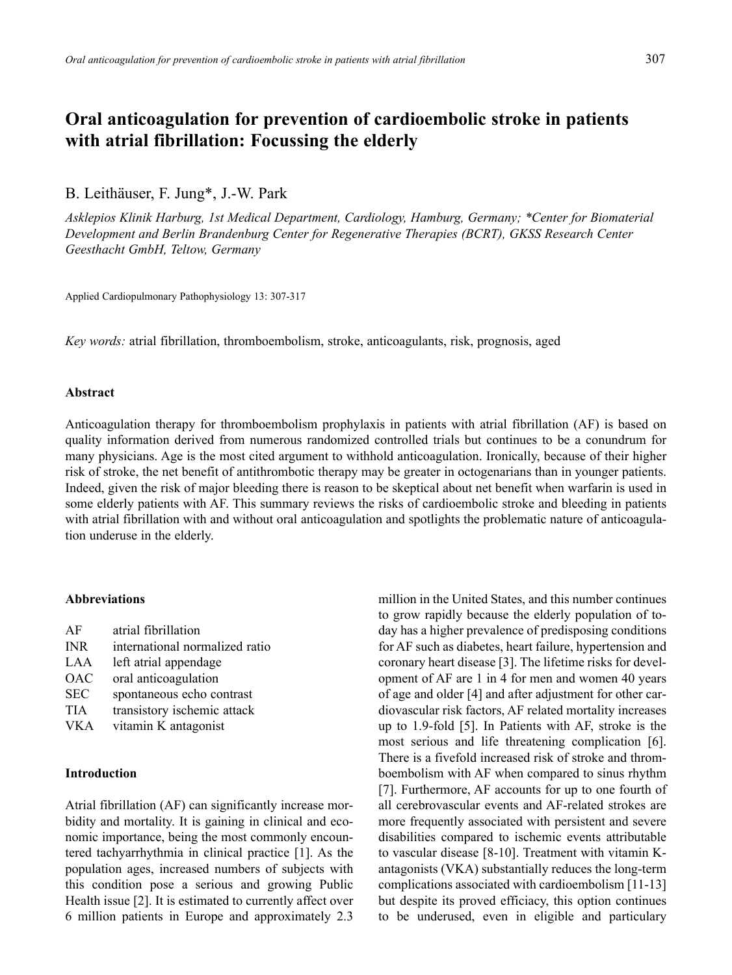# **Oral anticoagulation for prevention of cardioembolic stroke in patients with atrial fibrillation: Focussing the elderly**

B. Leithäuser, F. Jung\*, J.-W. Park

*Asklepios Klinik Harburg, 1st Medical Department, Cardiology, Hamburg, Germany; \*Center for Biomaterial Development and Berlin Brandenburg Center for Regenerative Therapies (BCRT), GKSS Research Center Geesthacht GmbH, Teltow, Germany*

Applied Cardiopulmonary Pathophysiology 13: 307-317

*Key words:* atrial fibrillation, thromboembolism, stroke, anticoagulants, risk, prognosis, aged

## **Abstract**

Anticoagulation therapy for thromboembolism prophylaxis in patients with atrial fibrillation (AF) is based on quality information derived from numerous randomized controlled trials but continues to be a conundrum for many physicians. Age is the most cited argument to withhold anticoagulation. Ironically, because of their higher risk of stroke, the net benefit of antithrombotic therapy may be greater in octogenarians than in younger patients. Indeed, given the risk of major bleeding there is reason to be skeptical about net benefit when warfarin is used in some elderly patients with AF. This summary reviews the risks of cardioembolic stroke and bleeding in patients with atrial fibrillation with and without oral anticoagulation and spotlights the problematic nature of anticoagulation underuse in the elderly.

# **Abbreviations**

AF atrial fibrillation INR international normalized ratio LAA left atrial appendage OAC oral anticoagulation SEC spontaneous echo contrast TIA transistory ischemic attack VKA vitamin K antagonist

#### **Introduction**

Atrial fibrillation (AF) can significantly increase morbidity and mortality. It is gaining in clinical and economic importance, being the most commonly encountered tachyarrhythmia in clinical practice [1]. As the population ages, increased numbers of subjects with this condition pose a serious and growing Public Health issue [2]. It is estimated to currently affect over 6 million patients in Europe and approximately 2.3

million in the United States, and this number continues to grow rapidly because the elderly population of today has a higher prevalence of predisposing conditions for AF such as diabetes, heart failure, hypertension and coronary heart disease [3]. The lifetime risks for development of AF are 1 in 4 for men and women 40 years of age and older [4] and after adjustment for other cardiovascular risk factors, AF related mortality increases up to 1.9-fold [5]. In Patients with AF, stroke is the most serious and life threatening complication [6]. There is a fivefold increased risk of stroke and thromboembolism with AF when compared to sinus rhythm [7]. Furthermore, AF accounts for up to one fourth of all cerebrovascular events and AF-related strokes are more frequently associated with persistent and severe disabilities compared to ischemic events attributable to vascular disease [8-10]. Treatment with vitamin Kantagonists (VKA) substantially reduces the long-term complications associated with cardioembolism [11-13] but despite its proved efficiacy, this option continues to be underused, even in eligible and particulary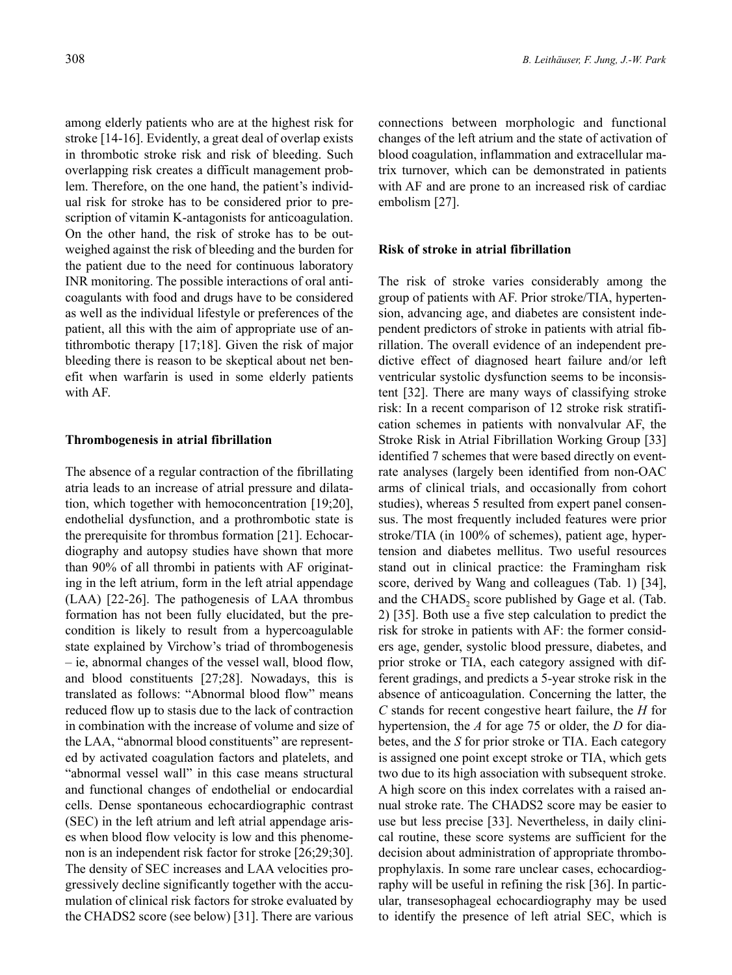among elderly patients who are at the highest risk for stroke [14-16]. Evidently, a great deal of overlap exists in thrombotic stroke risk and risk of bleeding. Such overlapping risk creates a difficult management problem. Therefore, on the one hand, the patient's individual risk for stroke has to be considered prior to prescription of vitamin K-antagonists for anticoagulation. On the other hand, the risk of stroke has to be outweighed against the risk of bleeding and the burden for the patient due to the need for continuous laboratory INR monitoring. The possible interactions of oral anticoagulants with food and drugs have to be considered as well as the individual lifestyle or preferences of the patient, all this with the aim of appropriate use of antithrombotic therapy [17;18]. Given the risk of major bleeding there is reason to be skeptical about net benefit when warfarin is used in some elderly patients with AF.

#### **Thrombogenesis in atrial fibrillation**

The absence of a regular contraction of the fibrillating atria leads to an increase of atrial pressure and dilatation, which together with hemoconcentration [19;20], endothelial dysfunction, and a prothrombotic state is the prerequisite for thrombus formation [21]. Echocardiography and autopsy studies have shown that more than 90% of all thrombi in patients with AF originating in the left atrium, form in the left atrial appendage (LAA) [22-26]. The pathogenesis of LAA thrombus formation has not been fully elucidated, but the precondition is likely to result from a hypercoagulable state explained by Virchow's triad of thrombogenesis – ie, abnormal changes of the vessel wall, blood flow, and blood constituents [27;28]. Nowadays, this is translated as follows: "Abnormal blood flow" means reduced flow up to stasis due to the lack of contraction in combination with the increase of volume and size of the LAA, "abnormal blood constituents" are represented by activated coagulation factors and platelets, and "abnormal vessel wall" in this case means structural and functional changes of endothelial or endocardial cells. Dense spontaneous echocardiographic contrast (SEC) in the left atrium and left atrial appendage arises when blood flow velocity is low and this phenomenon is an independent risk factor for stroke [26;29;30]. The density of SEC increases and LAA velocities progressively decline significantly together with the accumulation of clinical risk factors for stroke evaluated by the CHADS2 score (see below) [31]. There are various

connections between morphologic and functional changes of the left atrium and the state of activation of blood coagulation, inflammation and extracellular matrix turnover, which can be demonstrated in patients with AF and are prone to an increased risk of cardiac embolism [27].

## **Risk of stroke in atrial fibrillation**

The risk of stroke varies considerably among the group of patients with AF. Prior stroke/TIA, hypertension, advancing age, and diabetes are consistent independent predictors of stroke in patients with atrial fibrillation. The overall evidence of an independent predictive effect of diagnosed heart failure and/or left ventricular systolic dysfunction seems to be inconsistent [32]. There are many ways of classifying stroke risk: In a recent comparison of 12 stroke risk stratification schemes in patients with nonvalvular AF, the Stroke Risk in Atrial Fibrillation Working Group [33] identified 7 schemes that were based directly on eventrate analyses (largely been identified from non-OAC arms of clinical trials, and occasionally from cohort studies), whereas 5 resulted from expert panel consensus. The most frequently included features were prior stroke/TIA (in 100% of schemes), patient age, hypertension and diabetes mellitus. Two useful resources stand out in clinical practice: the Framingham risk score, derived by Wang and colleagues (Tab. 1) [34], and the CHADS<sub>2</sub> score published by Gage et al. (Tab. 2) [35]. Both use a five step calculation to predict the risk for stroke in patients with AF: the former considers age, gender, systolic blood pressure, diabetes, and prior stroke or TIA, each category assigned with different gradings, and predicts a 5-year stroke risk in the absence of anticoagulation. Concerning the latter, the *C* stands for recent congestive heart failure, the *H* for hypertension, the *A* for age 75 or older, the *D* for diabetes, and the *S* for prior stroke or TIA. Each category is assigned one point except stroke or TIA, which gets two due to its high association with subsequent stroke. A high score on this index correlates with a raised annual stroke rate. The CHADS2 score may be easier to use but less precise [33]. Nevertheless, in daily clinical routine, these score systems are sufficient for the decision about administration of appropriate thromboprophylaxis. In some rare unclear cases, echocardiography will be useful in refining the risk [36]. In particular, transesophageal echocardiography may be used to identify the presence of left atrial SEC, which is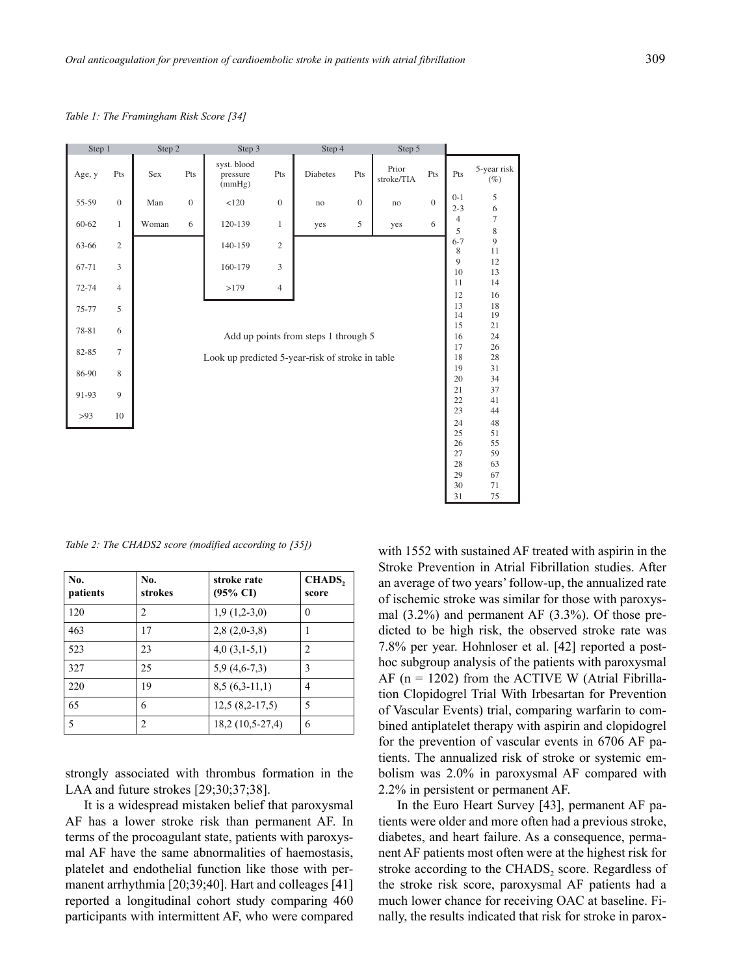*Table 1: The Framingham Risk Score [34]*

| Step 1    |                 | Step 2 |              | Step 3                                           |                | Step 4                               |              | Step 5              |              |                     |                       |
|-----------|-----------------|--------|--------------|--------------------------------------------------|----------------|--------------------------------------|--------------|---------------------|--------------|---------------------|-----------------------|
| Age, y    | Pts             | Sex    | Pts          | syst. blood<br>pressure<br>(mmHg)                | Pts            | <b>Diabetes</b>                      | Pts          | Prior<br>stroke/TIA | Pts          | Pts                 | 5-year risk<br>$(\%)$ |
| 55-59     | $\mathbf{0}$    | Man    | $\mathbf{0}$ | <120                                             | $\overline{0}$ | no                                   | $\mathbf{0}$ | no                  | $\mathbf{0}$ | $0 - 1$<br>$2 - 3$  | 5<br>6                |
| 60-62     | $\mathbf{1}$    | Woman  | 6            | 120-139                                          | $\mathbf{1}$   | yes                                  | 5            | yes                 | 6            | $\overline{4}$<br>5 | $\tau$<br>8           |
| 63-66     | $\overline{c}$  |        |              | 140-159                                          | $\overline{2}$ |                                      |              |                     |              | $6 - 7$<br>8        | 9<br>11               |
| 67-71     | 3               |        |              | 160-179                                          | 3              |                                      |              |                     |              | 9<br>10             | 12<br>13              |
| $72 - 74$ | $\overline{4}$  |        |              | >179                                             | $\overline{4}$ |                                      |              |                     |              | 11<br>12            | 14<br>16              |
| 75-77     | 5               |        |              |                                                  |                |                                      |              |                     |              | 13<br>14            | 18<br>19              |
| 78-81     | 6               |        |              |                                                  |                | Add up points from steps 1 through 5 |              |                     |              | 15<br>16            | 21<br>24              |
| 82-85     | $7\phantom{.0}$ |        |              |                                                  |                |                                      |              |                     |              | 17<br>18            | 26<br>28              |
| 86-90     | 8               |        |              | Look up predicted 5-year-risk of stroke in table |                |                                      |              |                     |              | 19                  | 31                    |
| 91-93     | 9               |        |              |                                                  |                |                                      |              |                     |              | 20<br>21            | 34<br>37              |
| >93       | 10              |        |              |                                                  |                |                                      |              |                     |              | 22<br>23            | 41<br>44              |
|           |                 |        |              |                                                  |                |                                      |              |                     |              | 24<br>25            | 48<br>51              |
|           |                 |        |              |                                                  |                |                                      |              |                     |              | 26<br>27            | 55<br>59              |
|           |                 |        |              |                                                  |                |                                      |              |                     |              | 28<br>29            | 63<br>67              |
|           |                 |        |              |                                                  |                |                                      |              |                     |              | 30                  | 71                    |

*Table 2: The CHADS2 score (modified according to [35])*

| No.<br>patients | No.<br>strokes | stroke rate<br>$(95\% \text{ CI})$ | CHADS,<br>score |
|-----------------|----------------|------------------------------------|-----------------|
| 120             | $\overline{2}$ | $1,9(1,2-3,0)$                     | $\theta$        |
| 463             | 17             | $2,8(2,0-3,8)$                     |                 |
| 523             | 23             | $4,0(3,1-5,1)$                     | 2               |
| 327             | 25             | $5,9(4,6-7,3)$                     | 3               |
| 220             | 19             | $8,5(6,3-11,1)$                    | 4               |
| 65              | 6              | $12,5(8,2-17,5)$                   | 5               |
| 5               | $\overline{2}$ | 18,2 (10,5-27,4)                   | 6               |

strongly associated with thrombus formation in the LAA and future strokes [29;30;37;38].

It is a widespread mistaken belief that paroxysmal AF has a lower stroke risk than permanent AF. In terms of the procoagulant state, patients with paroxysmal AF have the same abnormalities of haemostasis, platelet and endothelial function like those with permanent arrhythmia [20;39;40]. Hart and colleages [41] reported a longitudinal cohort study comparing 460 participants with intermittent AF, who were compared with 1552 with sustained AF treated with aspirin in the Stroke Prevention in Atrial Fibrillation studies. After an average of two years' follow-up, the annualized rate of ischemic stroke was similar for those with paroxysmal (3.2%) and permanent AF (3.3%). Of those predicted to be high risk, the observed stroke rate was 7.8% per year. Hohnloser et al. [42] reported a posthoc subgroup analysis of the patients with paroxysmal AF  $(n = 1202)$  from the ACTIVE W (Atrial Fibrillation Clopidogrel Trial With Irbesartan for Prevention of Vascular Events) trial, comparing warfarin to combined antiplatelet therapy with aspirin and clopidogrel for the prevention of vascular events in 6706 AF patients. The annualized risk of stroke or systemic embolism was 2.0% in paroxysmal AF compared with 2.2% in persistent or permanent AF.

31 75

In the Euro Heart Survey [43], permanent AF patients were older and more often had a previous stroke, diabetes, and heart failure. As a consequence, permanent AF patients most often were at the highest risk for stroke according to the  $\text{CHADS}_2$  score. Regardless of the stroke risk score, paroxysmal AF patients had a much lower chance for receiving OAC at baseline. Finally, the results indicated that risk for stroke in parox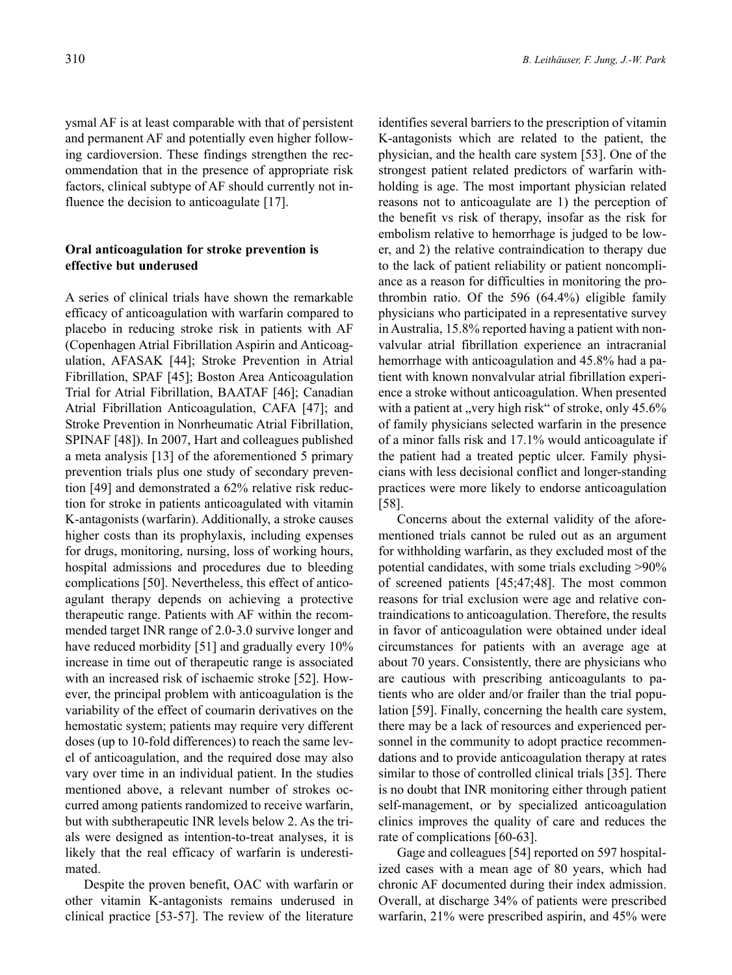ysmal AF is at least comparable with that of persistent and permanent AF and potentially even higher following cardioversion. These findings strengthen the recommendation that in the presence of appropriate risk factors, clinical subtype of AF should currently not influence the decision to anticoagulate [17].

# **Oral anticoagulation for stroke prevention is effective but underused**

A series of clinical trials have shown the remarkable efficacy of anticoagulation with warfarin compared to placebo in reducing stroke risk in patients with AF (Copenhagen Atrial Fibrillation Aspirin and Anticoagulation, AFASAK [44]; Stroke Prevention in Atrial Fibrillation, SPAF [45]; Boston Area Anticoagulation Trial for Atrial Fibrillation, BAATAF [46]; Canadian Atrial Fibrillation Anticoagulation, CAFA [47]; and Stroke Prevention in Nonrheumatic Atrial Fibrillation, SPINAF [48]). In 2007, Hart and colleagues published a meta analysis [13] of the aforementioned 5 primary prevention trials plus one study of secondary prevention [49] and demonstrated a 62% relative risk reduction for stroke in patients anticoagulated with vitamin K-antagonists (warfarin). Additionally, a stroke causes higher costs than its prophylaxis, including expenses for drugs, monitoring, nursing, loss of working hours, hospital admissions and procedures due to bleeding complications [50]. Nevertheless, this effect of anticoagulant therapy depends on achieving a protective therapeutic range. Patients with AF within the recommended target INR range of 2.0-3.0 survive longer and have reduced morbidity [51] and gradually every 10% increase in time out of therapeutic range is associated with an increased risk of ischaemic stroke [52]. However, the principal problem with anticoagulation is the variability of the effect of coumarin derivatives on the hemostatic system; patients may require very different doses (up to 10-fold differences) to reach the same level of anticoagulation, and the required dose may also vary over time in an individual patient. In the studies mentioned above, a relevant number of strokes occurred among patients randomized to receive warfarin, but with subtherapeutic INR levels below 2. As the trials were designed as intention-to-treat analyses, it is likely that the real efficacy of warfarin is underestimated.

Despite the proven benefit, OAC with warfarin or other vitamin K-antagonists remains underused in clinical practice [53-57]. The review of the literature

identifies several barriers to the prescription of vitamin K-antagonists which are related to the patient, the physician, and the health care system [53]. One of the strongest patient related predictors of warfarin withholding is age. The most important physician related reasons not to anticoagulate are 1) the perception of the benefit vs risk of therapy, insofar as the risk for embolism relative to hemorrhage is judged to be lower, and 2) the relative contraindication to therapy due to the lack of patient reliability or patient noncompliance as a reason for difficulties in monitoring the prothrombin ratio. Of the 596 (64.4%) eligible family physicians who participated in a representative survey in Australia, 15.8% reported having a patient with nonvalvular atrial fibrillation experience an intracranial hemorrhage with anticoagulation and 45.8% had a patient with known nonvalvular atrial fibrillation experience a stroke without anticoagulation. When presented with a patient at "very high risk" of stroke, only  $45.6\%$ of family physicians selected warfarin in the presence of a minor falls risk and 17.1% would anticoagulate if the patient had a treated peptic ulcer. Family physicians with less decisional conflict and longer-standing practices were more likely to endorse anticoagulation [58].

Concerns about the external validity of the aforementioned trials cannot be ruled out as an argument for withholding warfarin, as they excluded most of the potential candidates, with some trials excluding >90% of screened patients [45;47;48]. The most common reasons for trial exclusion were age and relative contraindications to anticoagulation. Therefore, the results in favor of anticoagulation were obtained under ideal circumstances for patients with an average age at about 70 years. Consistently, there are physicians who are cautious with prescribing anticoagulants to patients who are older and/or frailer than the trial population [59]. Finally, concerning the health care system, there may be a lack of resources and experienced personnel in the community to adopt practice recommendations and to provide anticoagulation therapy at rates similar to those of controlled clinical trials [35]. There is no doubt that INR monitoring either through patient self-management, or by specialized anticoagulation clinics improves the quality of care and reduces the rate of complications [60-63].

Gage and colleagues [54] reported on 597 hospitalized cases with a mean age of 80 years, which had chronic AF documented during their index admission. Overall, at discharge 34% of patients were prescribed warfarin, 21% were prescribed aspirin, and 45% were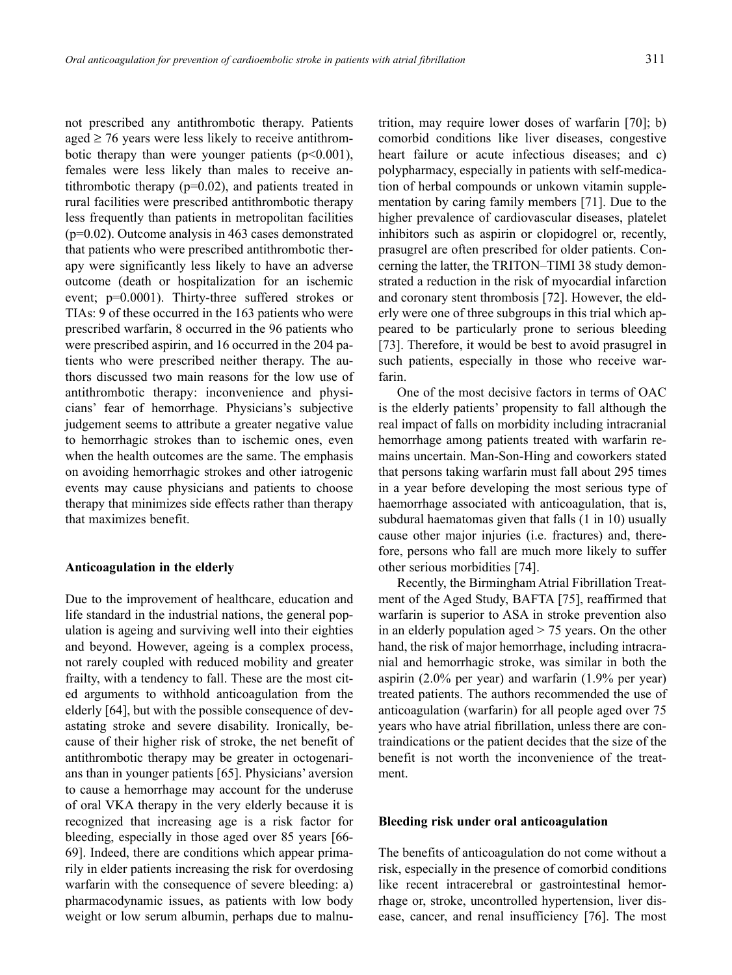not prescribed any antithrombotic therapy. Patients aged  $\geq$  76 years were less likely to receive antithrombotic therapy than were younger patients  $(p<0.001)$ , females were less likely than males to receive antithrombotic therapy (p=0.02), and patients treated in rural facilities were prescribed antithrombotic therapy less frequently than patients in metropolitan facilities (p=0.02). Outcome analysis in 463 cases demonstrated that patients who were prescribed antithrombotic therapy were significantly less likely to have an adverse outcome (death or hospitalization for an ischemic event; p=0.0001). Thirty-three suffered strokes or TIAs: 9 of these occurred in the 163 patients who were prescribed warfarin, 8 occurred in the 96 patients who were prescribed aspirin, and 16 occurred in the 204 patients who were prescribed neither therapy. The authors discussed two main reasons for the low use of antithrombotic therapy: inconvenience and physicians' fear of hemorrhage. Physicians's subjective judgement seems to attribute a greater negative value to hemorrhagic strokes than to ischemic ones, even when the health outcomes are the same. The emphasis on avoiding hemorrhagic strokes and other iatrogenic events may cause physicians and patients to choose therapy that minimizes side effects rather than therapy that maximizes benefit.

### **Anticoagulation in the elderly**

Due to the improvement of healthcare, education and life standard in the industrial nations, the general population is ageing and surviving well into their eighties and beyond. However, ageing is a complex process, not rarely coupled with reduced mobility and greater frailty, with a tendency to fall. These are the most cited arguments to withhold anticoagulation from the elderly [64], but with the possible consequence of devastating stroke and severe disability. Ironically, because of their higher risk of stroke, the net benefit of antithrombotic therapy may be greater in octogenarians than in younger patients [65]. Physicians' aversion to cause a hemorrhage may account for the underuse of oral VKA therapy in the very elderly because it is recognized that increasing age is a risk factor for bleeding, especially in those aged over 85 years [66- 69]. Indeed, there are conditions which appear primarily in elder patients increasing the risk for overdosing warfarin with the consequence of severe bleeding: a) pharmacodynamic issues, as patients with low body weight or low serum albumin, perhaps due to malnutrition, may require lower doses of warfarin [70]; b) comorbid conditions like liver diseases, congestive heart failure or acute infectious diseases; and c) polypharmacy, especially in patients with self-medication of herbal compounds or unkown vitamin supplementation by caring family members [71]. Due to the higher prevalence of cardiovascular diseases, platelet inhibitors such as aspirin or clopidogrel or, recently, prasugrel are often prescribed for older patients. Concerning the latter, the TRITON–TIMI 38 study demonstrated a reduction in the risk of myocardial infarction and coronary stent thrombosis [72]. However, the elderly were one of three subgroups in this trial which appeared to be particularly prone to serious bleeding [73]. Therefore, it would be best to avoid prasugrel in such patients, especially in those who receive warfarin.

One of the most decisive factors in terms of OAC is the elderly patients' propensity to fall although the real impact of falls on morbidity including intracranial hemorrhage among patients treated with warfarin remains uncertain. Man-Son-Hing and coworkers stated that persons taking warfarin must fall about 295 times in a year before developing the most serious type of haemorrhage associated with anticoagulation, that is, subdural haematomas given that falls (1 in 10) usually cause other major injuries (i.e. fractures) and, therefore, persons who fall are much more likely to suffer other serious morbidities [74].

Recently, the Birmingham Atrial Fibrillation Treatment of the Aged Study, BAFTA [75], reaffirmed that warfarin is superior to ASA in stroke prevention also in an elderly population aged > 75 years. On the other hand, the risk of major hemorrhage, including intracranial and hemorrhagic stroke, was similar in both the aspirin (2.0% per year) and warfarin (1.9% per year) treated patients. The authors recommended the use of anticoagulation (warfarin) for all people aged over 75 years who have atrial fibrillation, unless there are contraindications or the patient decides that the size of the benefit is not worth the inconvenience of the treatment.

#### **Bleeding risk under oral anticoagulation**

The benefits of anticoagulation do not come without a risk, especially in the presence of comorbid conditions like recent intracerebral or gastrointestinal hemorrhage or, stroke, uncontrolled hypertension, liver disease, cancer, and renal insufficiency [76]. The most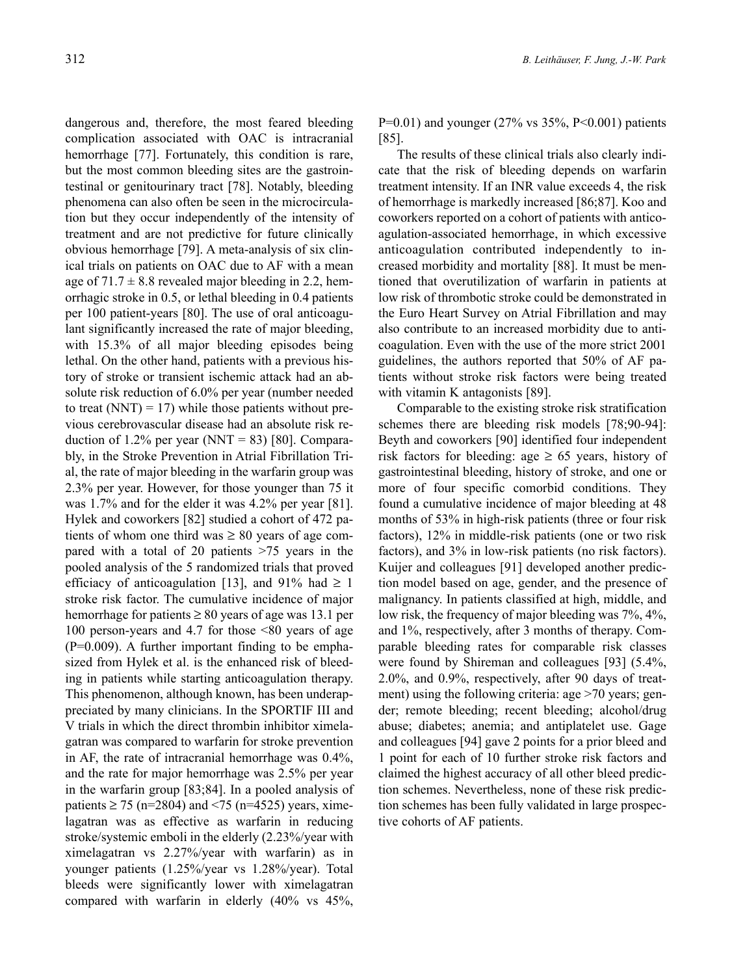dangerous and, therefore, the most feared bleeding complication associated with OAC is intracranial hemorrhage [77]. Fortunately, this condition is rare, but the most common bleeding sites are the gastrointestinal or genitourinary tract [78]. Notably, bleeding phenomena can also often be seen in the microcirculation but they occur independently of the intensity of treatment and are not predictive for future clinically obvious hemorrhage [79]. A meta-analysis of six clinical trials on patients on OAC due to AF with a mean age of  $71.7 \pm 8.8$  revealed major bleeding in 2.2, hemorrhagic stroke in 0.5, or lethal bleeding in 0.4 patients per 100 patient-years [80]. The use of oral anticoagulant significantly increased the rate of major bleeding, with 15.3% of all major bleeding episodes being lethal. On the other hand, patients with a previous history of stroke or transient ischemic attack had an absolute risk reduction of 6.0% per year (number needed to treat  $(NNT) = 17$ ) while those patients without previous cerebrovascular disease had an absolute risk reduction of 1.2% per year (NNT = 83) [80]. Comparably, in the Stroke Prevention in Atrial Fibrillation Trial, the rate of major bleeding in the warfarin group was 2.3% per year. However, for those younger than 75 it was 1.7% and for the elder it was 4.2% per year [81]. Hylek and coworkers [82] studied a cohort of 472 patients of whom one third was  $\geq 80$  years of age compared with a total of 20 patients >75 years in the pooled analysis of the 5 randomized trials that proved efficiacy of anticoagulation [13], and 91% had  $\geq 1$ stroke risk factor. The cumulative incidence of major hemorrhage for patients  $\geq 80$  years of age was 13.1 per 100 person-years and 4.7 for those <80 years of age  $(P=0.009)$ . A further important finding to be emphasized from Hylek et al. is the enhanced risk of bleeding in patients while starting anticoagulation therapy. This phenomenon, although known, has been underappreciated by many clinicians. In the SPORTIF III and V trials in which the direct thrombin inhibitor ximelagatran was compared to warfarin for stroke prevention in AF, the rate of intracranial hemorrhage was 0.4%, and the rate for major hemorrhage was 2.5% per year in the warfarin group [83;84]. In a pooled analysis of patients ≥ 75 (n=2804) and <75 (n=4525) years, ximelagatran was as effective as warfarin in reducing stroke/systemic emboli in the elderly (2.23%/year with ximelagatran vs 2.27%/year with warfarin) as in younger patients (1.25%/year vs 1.28%/year). Total bleeds were significantly lower with ximelagatran compared with warfarin in elderly (40% vs 45%,

P=0.01) and younger (27% vs  $35\%$ , P<0.001) patients [85].

The results of these clinical trials also clearly indicate that the risk of bleeding depends on warfarin treatment intensity. If an INR value exceeds 4, the risk of hemorrhage is markedly increased [86;87]. Koo and coworkers reported on a cohort of patients with anticoagulation-associated hemorrhage, in which excessive anticoagulation contributed independently to increased morbidity and mortality [88]. It must be mentioned that overutilization of warfarin in patients at low risk of thrombotic stroke could be demonstrated in the Euro Heart Survey on Atrial Fibrillation and may also contribute to an increased morbidity due to anticoagulation. Even with the use of the more strict 2001 guidelines, the authors reported that 50% of AF patients without stroke risk factors were being treated with vitamin K antagonists [89].

Comparable to the existing stroke risk stratification schemes there are bleeding risk models [78;90-94]: Beyth and coworkers [90] identified four independent risk factors for bleeding: age  $\geq 65$  years, history of gastrointestinal bleeding, history of stroke, and one or more of four specific comorbid conditions. They found a cumulative incidence of major bleeding at 48 months of 53% in high-risk patients (three or four risk factors), 12% in middle-risk patients (one or two risk factors), and 3% in low-risk patients (no risk factors). Kuijer and colleagues [91] developed another prediction model based on age, gender, and the presence of malignancy. In patients classified at high, middle, and low risk, the frequency of major bleeding was 7%, 4%, and 1%, respectively, after 3 months of therapy. Comparable bleeding rates for comparable risk classes were found by Shireman and colleagues [93] (5.4%, 2.0%, and 0.9%, respectively, after 90 days of treatment) using the following criteria: age >70 years; gender; remote bleeding; recent bleeding; alcohol/drug abuse; diabetes; anemia; and antiplatelet use. Gage and colleagues [94] gave 2 points for a prior bleed and 1 point for each of 10 further stroke risk factors and claimed the highest accuracy of all other bleed prediction schemes. Nevertheless, none of these risk prediction schemes has been fully validated in large prospective cohorts of AF patients.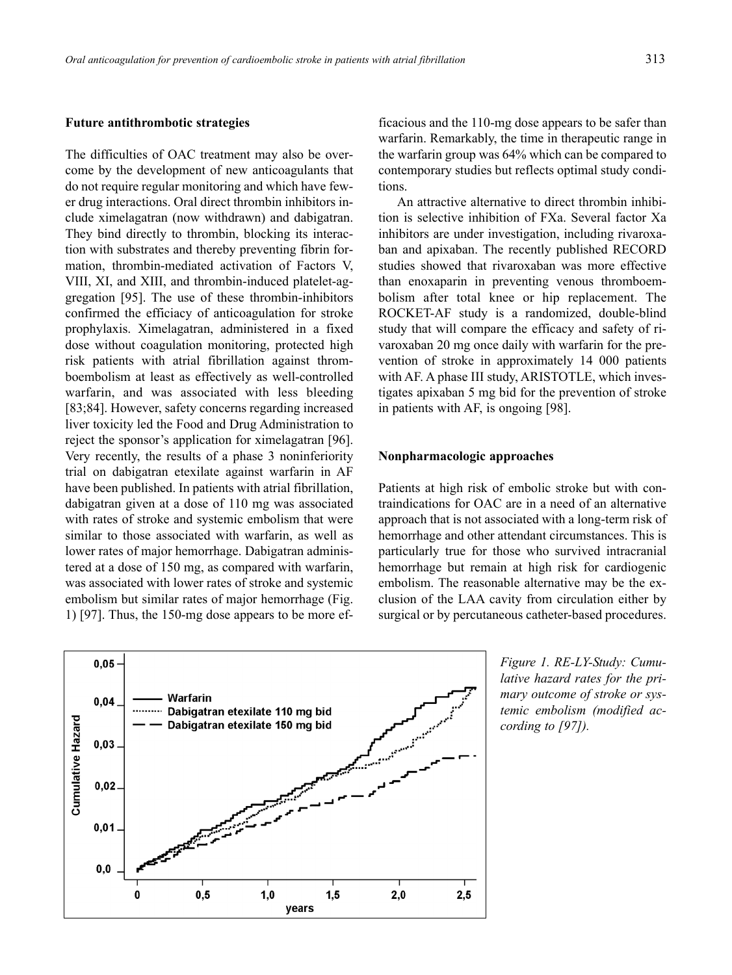#### **Future antithrombotic strategies**

The difficulties of OAC treatment may also be overcome by the development of new anticoagulants that do not require regular monitoring and which have fewer drug interactions. Oral direct thrombin inhibitors include ximelagatran (now withdrawn) and dabigatran. They bind directly to thrombin, blocking its interaction with substrates and thereby preventing fibrin formation, thrombin-mediated activation of Factors V, VIII, XI, and XIII, and thrombin-induced platelet-aggregation [95]. The use of these thrombin-inhibitors confirmed the efficiacy of anticoagulation for stroke prophylaxis. Ximelagatran, administered in a fixed dose without coagulation monitoring, protected high risk patients with atrial fibrillation against thromboembolism at least as effectively as well-controlled warfarin, and was associated with less bleeding [83;84]. However, safety concerns regarding increased liver toxicity led the Food and Drug Administration to reject the sponsor's application for ximelagatran [96]. Very recently, the results of a phase 3 noninferiority trial on dabigatran etexilate against warfarin in AF have been published. In patients with atrial fibrillation, dabigatran given at a dose of 110 mg was associated with rates of stroke and systemic embolism that were similar to those associated with warfarin, as well as lower rates of major hemorrhage. Dabigatran administered at a dose of 150 mg, as compared with warfarin, was associated with lower rates of stroke and systemic embolism but similar rates of major hemorrhage (Fig. 1) [97]. Thus, the 150-mg dose appears to be more ef-

 $0,05$ Warfarin  $0,04$ Dabigatran etexilate 110 mg bid Cumulative Hazard Dabigatran etexilate 150 mg bid  $0,03$  $0,02$  $0,01$  $0.0$  $0,5$  $2,0$ 0  $1,0$  $1,5$  $2,5$ years

ficacious and the 110-mg dose appears to be safer than warfarin. Remarkably, the time in therapeutic range in the warfarin group was 64% which can be compared to contemporary studies but reflects optimal study conditions.

An attractive alternative to direct thrombin inhibition is selective inhibition of FXa. Several factor Xa inhibitors are under investigation, including rivaroxaban and apixaban. The recently published RECORD studies showed that rivaroxaban was more effective than enoxaparin in preventing venous thromboembolism after total knee or hip replacement. The ROCKET-AF study is a randomized, double-blind study that will compare the efficacy and safety of rivaroxaban 20 mg once daily with warfarin for the prevention of stroke in approximately 14 000 patients with AF. A phase III study, ARISTOTLE, which investigates apixaban 5 mg bid for the prevention of stroke in patients with AF, is ongoing [98].

## **Nonpharmacologic approaches**

Patients at high risk of embolic stroke but with contraindications for OAC are in a need of an alternative approach that is not associated with a long-term risk of hemorrhage and other attendant circumstances. This is particularly true for those who survived intracranial hemorrhage but remain at high risk for cardiogenic embolism. The reasonable alternative may be the exclusion of the LAA cavity from circulation either by surgical or by percutaneous catheter-based procedures.

> *Figure 1. RE-LY-Study: Cumulative hazard rates for the primary outcome of stroke or systemic embolism (modified according to [97]).*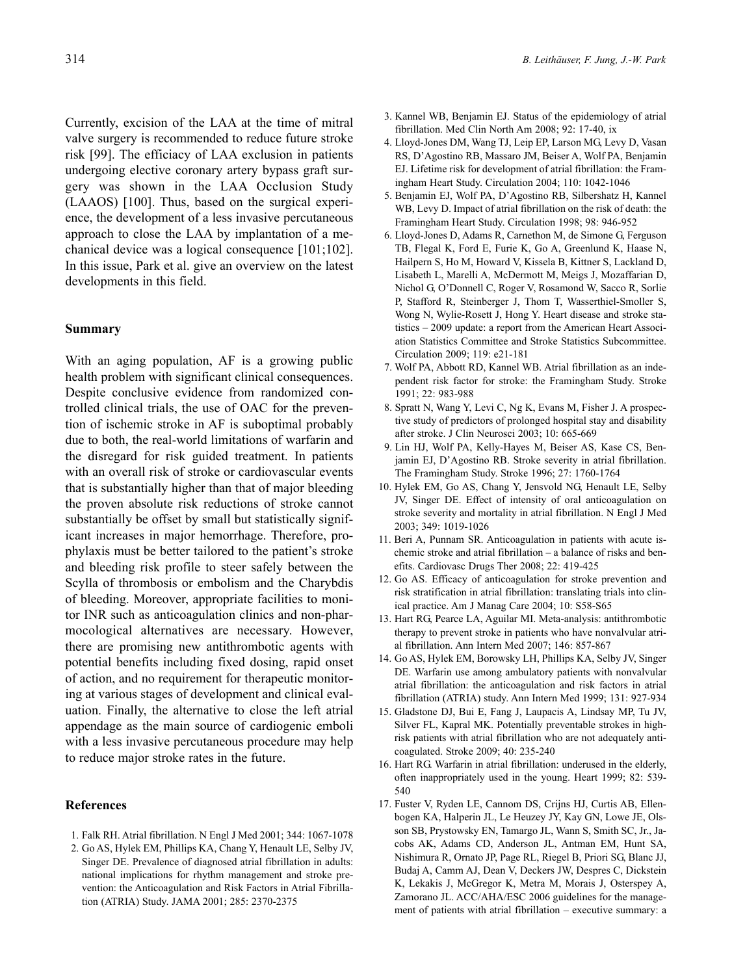Currently, excision of the LAA at the time of mitral valve surgery is recommended to reduce future stroke risk [99]. The efficiacy of LAA exclusion in patients undergoing elective coronary artery bypass graft surgery was shown in the LAA Occlusion Study (LAAOS) [100]. Thus, based on the surgical experience, the development of a less invasive percutaneous approach to close the LAA by implantation of a mechanical device was a logical consequence [101;102]. In this issue, Park et al. give an overview on the latest developments in this field.

# **Summary**

With an aging population, AF is a growing public health problem with significant clinical consequences. Despite conclusive evidence from randomized controlled clinical trials, the use of OAC for the prevention of ischemic stroke in AF is suboptimal probably due to both, the real-world limitations of warfarin and the disregard for risk guided treatment. In patients with an overall risk of stroke or cardiovascular events that is substantially higher than that of major bleeding the proven absolute risk reductions of stroke cannot substantially be offset by small but statistically significant increases in major hemorrhage. Therefore, prophylaxis must be better tailored to the patient's stroke and bleeding risk profile to steer safely between the Scylla of thrombosis or embolism and the Charybdis of bleeding. Moreover, appropriate facilities to monitor INR such as anticoagulation clinics and non-pharmocological alternatives are necessary. However, there are promising new antithrombotic agents with potential benefits including fixed dosing, rapid onset of action, and no requirement for therapeutic monitoring at various stages of development and clinical evaluation. Finally, the alternative to close the left atrial appendage as the main source of cardiogenic emboli with a less invasive percutaneous procedure may help to reduce major stroke rates in the future.

#### **References**

- 1. Falk RH. Atrial fibrillation. N Engl J Med 2001; 344: 1067-1078
- 2. Go AS, Hylek EM, Phillips KA, Chang Y, Henault LE, Selby JV, Singer DE. Prevalence of diagnosed atrial fibrillation in adults: national implications for rhythm management and stroke prevention: the Anticoagulation and Risk Factors in Atrial Fibrillation (ATRIA) Study. JAMA 2001; 285: 2370-2375
- 3. Kannel WB, Benjamin EJ. Status of the epidemiology of atrial fibrillation. Med Clin North Am 2008; 92: 17-40, ix
- 4. Lloyd-Jones DM, Wang TJ, Leip EP, Larson MG, Levy D, Vasan RS, D'Agostino RB, Massaro JM, Beiser A, Wolf PA, Benjamin EJ. Lifetime risk for development of atrial fibrillation: the Framingham Heart Study. Circulation 2004; 110: 1042-1046
- 5. Benjamin EJ, Wolf PA, D'Agostino RB, Silbershatz H, Kannel WB, Levy D. Impact of atrial fibrillation on the risk of death: the Framingham Heart Study. Circulation 1998; 98: 946-952
- 6. Lloyd-Jones D, Adams R, Carnethon M, de Simone G, Ferguson TB, Flegal K, Ford E, Furie K, Go A, Greenlund K, Haase N, Hailpern S, Ho M, Howard V, Kissela B, Kittner S, Lackland D, Lisabeth L, Marelli A, McDermott M, Meigs J, Mozaffarian D, Nichol G, O'Donnell C, Roger V, Rosamond W, Sacco R, Sorlie P, Stafford R, Steinberger J, Thom T, Wasserthiel-Smoller S, Wong N, Wylie-Rosett J, Hong Y. Heart disease and stroke statistics – 2009 update: a report from the American Heart Association Statistics Committee and Stroke Statistics Subcommittee. Circulation 2009; 119: e21-181
- 7. Wolf PA, Abbott RD, Kannel WB. Atrial fibrillation as an independent risk factor for stroke: the Framingham Study. Stroke 1991; 22: 983-988
- 8. Spratt N, Wang Y, Levi C, Ng K, Evans M, Fisher J. A prospective study of predictors of prolonged hospital stay and disability after stroke. J Clin Neurosci 2003; 10: 665-669
- 9. Lin HJ, Wolf PA, Kelly-Hayes M, Beiser AS, Kase CS, Benjamin EJ, D'Agostino RB. Stroke severity in atrial fibrillation. The Framingham Study. Stroke 1996; 27: 1760-1764
- 10. Hylek EM, Go AS, Chang Y, Jensvold NG, Henault LE, Selby JV, Singer DE. Effect of intensity of oral anticoagulation on stroke severity and mortality in atrial fibrillation. N Engl J Med 2003; 349: 1019-1026
- 11. Beri A, Punnam SR. Anticoagulation in patients with acute ischemic stroke and atrial fibrillation – a balance of risks and benefits. Cardiovasc Drugs Ther 2008; 22: 419-425
- 12. Go AS. Efficacy of anticoagulation for stroke prevention and risk stratification in atrial fibrillation: translating trials into clinical practice. Am J Manag Care 2004; 10: S58-S65
- 13. Hart RG, Pearce LA, Aguilar MI. Meta-analysis: antithrombotic therapy to prevent stroke in patients who have nonvalvular atrial fibrillation. Ann Intern Med 2007; 146: 857-867
- 14. Go AS, Hylek EM, Borowsky LH, Phillips KA, Selby JV, Singer DE. Warfarin use among ambulatory patients with nonvalvular atrial fibrillation: the anticoagulation and risk factors in atrial fibrillation (ATRIA) study. Ann Intern Med 1999; 131: 927-934
- 15. Gladstone DJ, Bui E, Fang J, Laupacis A, Lindsay MP, Tu JV, Silver FL, Kapral MK. Potentially preventable strokes in highrisk patients with atrial fibrillation who are not adequately anticoagulated. Stroke 2009; 40: 235-240
- 16. Hart RG. Warfarin in atrial fibrillation: underused in the elderly, often inappropriately used in the young. Heart 1999; 82: 539- 540
- 17. Fuster V, Ryden LE, Cannom DS, Crijns HJ, Curtis AB, Ellenbogen KA, Halperin JL, Le Heuzey JY, Kay GN, Lowe JE, Olsson SB, Prystowsky EN, Tamargo JL, Wann S, Smith SC, Jr., Jacobs AK, Adams CD, Anderson JL, Antman EM, Hunt SA, Nishimura R, Ornato JP, Page RL, Riegel B, Priori SG, Blanc JJ, Budaj A, Camm AJ, Dean V, Deckers JW, Despres C, Dickstein K, Lekakis J, McGregor K, Metra M, Morais J, Osterspey A, Zamorano JL. ACC/AHA/ESC 2006 guidelines for the management of patients with atrial fibrillation – executive summary: a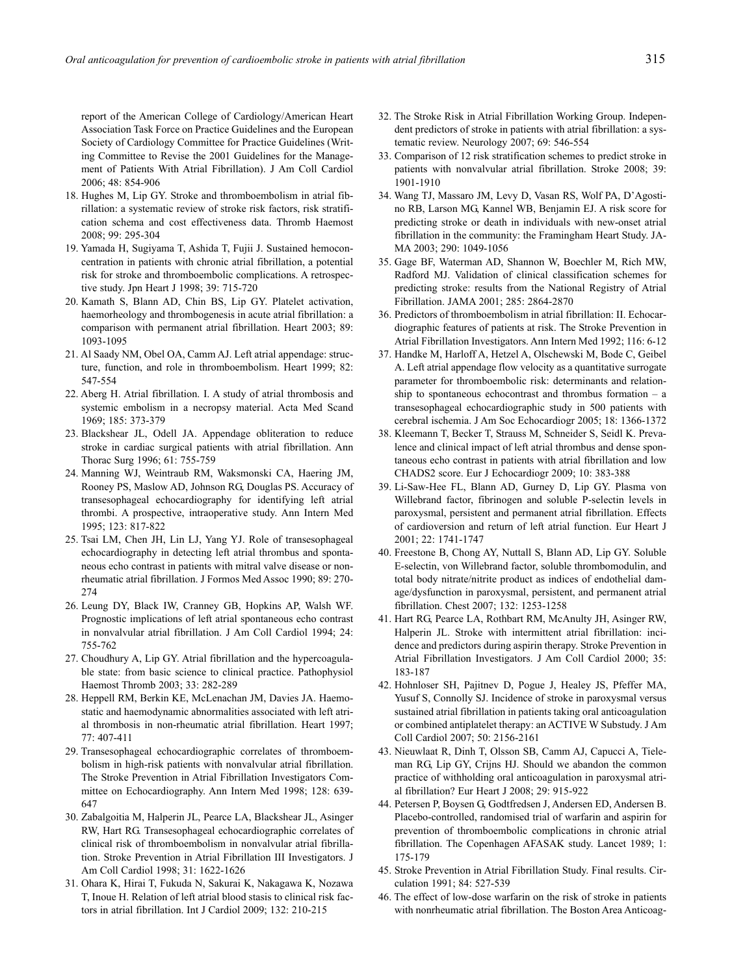report of the American College of Cardiology/American Heart Association Task Force on Practice Guidelines and the European Society of Cardiology Committee for Practice Guidelines (Writing Committee to Revise the 2001 Guidelines for the Management of Patients With Atrial Fibrillation). J Am Coll Cardiol 2006; 48: 854-906

- 18. Hughes M, Lip GY. Stroke and thromboembolism in atrial fibrillation: a systematic review of stroke risk factors, risk stratification schema and cost effectiveness data. Thromb Haemost 2008; 99: 295-304
- 19. Yamada H, Sugiyama T, Ashida T, Fujii J. Sustained hemoconcentration in patients with chronic atrial fibrillation, a potential risk for stroke and thromboembolic complications. A retrospective study. Jpn Heart J 1998; 39: 715-720
- 20. Kamath S, Blann AD, Chin BS, Lip GY. Platelet activation, haemorheology and thrombogenesis in acute atrial fibrillation: a comparison with permanent atrial fibrillation. Heart 2003; 89: 1093-1095
- 21. Al Saady NM, Obel OA, Camm AJ. Left atrial appendage: structure, function, and role in thromboembolism. Heart 1999; 82: 547-554
- 22. Aberg H. Atrial fibrillation. I. A study of atrial thrombosis and systemic embolism in a necropsy material. Acta Med Scand 1969; 185: 373-379
- 23. Blackshear JL, Odell JA. Appendage obliteration to reduce stroke in cardiac surgical patients with atrial fibrillation. Ann Thorac Surg 1996; 61: 755-759
- 24. Manning WJ, Weintraub RM, Waksmonski CA, Haering JM, Rooney PS, Maslow AD, Johnson RG, Douglas PS. Accuracy of transesophageal echocardiography for identifying left atrial thrombi. A prospective, intraoperative study. Ann Intern Med 1995; 123: 817-822
- 25. Tsai LM, Chen JH, Lin LJ, Yang YJ. Role of transesophageal echocardiography in detecting left atrial thrombus and spontaneous echo contrast in patients with mitral valve disease or nonrheumatic atrial fibrillation. J Formos Med Assoc 1990; 89: 270- 274
- 26. Leung DY, Black IW, Cranney GB, Hopkins AP, Walsh WF. Prognostic implications of left atrial spontaneous echo contrast in nonvalvular atrial fibrillation. J Am Coll Cardiol 1994; 24: 755-762
- 27. Choudhury A, Lip GY. Atrial fibrillation and the hypercoagulable state: from basic science to clinical practice. Pathophysiol Haemost Thromb 2003; 33: 282-289
- 28. Heppell RM, Berkin KE, McLenachan JM, Davies JA. Haemostatic and haemodynamic abnormalities associated with left atrial thrombosis in non-rheumatic atrial fibrillation. Heart 1997; 77: 407-411
- 29. Transesophageal echocardiographic correlates of thromboembolism in high-risk patients with nonvalvular atrial fibrillation. The Stroke Prevention in Atrial Fibrillation Investigators Committee on Echocardiography. Ann Intern Med 1998; 128: 639- 647
- 30. Zabalgoitia M, Halperin JL, Pearce LA, Blackshear JL, Asinger RW, Hart RG. Transesophageal echocardiographic correlates of clinical risk of thromboembolism in nonvalvular atrial fibrillation. Stroke Prevention in Atrial Fibrillation III Investigators. J Am Coll Cardiol 1998; 31: 1622-1626
- 31. Ohara K, Hirai T, Fukuda N, Sakurai K, Nakagawa K, Nozawa T, Inoue H. Relation of left atrial blood stasis to clinical risk factors in atrial fibrillation. Int J Cardiol 2009; 132: 210-215
- 32. The Stroke Risk in Atrial Fibrillation Working Group. Independent predictors of stroke in patients with atrial fibrillation: a systematic review. Neurology 2007; 69: 546-554
- 33. Comparison of 12 risk stratification schemes to predict stroke in patients with nonvalvular atrial fibrillation. Stroke 2008; 39: 1901-1910
- 34. Wang TJ, Massaro JM, Levy D, Vasan RS, Wolf PA, D'Agostino RB, Larson MG, Kannel WB, Benjamin EJ. A risk score for predicting stroke or death in individuals with new-onset atrial fibrillation in the community: the Framingham Heart Study. JA-MA 2003; 290: 1049-1056
- 35. Gage BF, Waterman AD, Shannon W, Boechler M, Rich MW, Radford MJ. Validation of clinical classification schemes for predicting stroke: results from the National Registry of Atrial Fibrillation. JAMA 2001; 285: 2864-2870
- 36. Predictors of thromboembolism in atrial fibrillation: II. Echocardiographic features of patients at risk. The Stroke Prevention in Atrial Fibrillation Investigators. Ann Intern Med 1992; 116: 6-12
- 37. Handke M, Harloff A, Hetzel A, Olschewski M, Bode C, Geibel A. Left atrial appendage flow velocity as a quantitative surrogate parameter for thromboembolic risk: determinants and relationship to spontaneous echocontrast and thrombus formation – a transesophageal echocardiographic study in 500 patients with cerebral ischemia. J Am Soc Echocardiogr 2005; 18: 1366-1372
- 38. Kleemann T, Becker T, Strauss M, Schneider S, Seidl K. Prevalence and clinical impact of left atrial thrombus and dense spontaneous echo contrast in patients with atrial fibrillation and low CHADS2 score. Eur J Echocardiogr 2009; 10: 383-388
- 39. Li-Saw-Hee FL, Blann AD, Gurney D, Lip GY. Plasma von Willebrand factor, fibrinogen and soluble P-selectin levels in paroxysmal, persistent and permanent atrial fibrillation. Effects of cardioversion and return of left atrial function. Eur Heart J 2001; 22: 1741-1747
- 40. Freestone B, Chong AY, Nuttall S, Blann AD, Lip GY. Soluble E-selectin, von Willebrand factor, soluble thrombomodulin, and total body nitrate/nitrite product as indices of endothelial damage/dysfunction in paroxysmal, persistent, and permanent atrial fibrillation. Chest 2007; 132: 1253-1258
- 41. Hart RG, Pearce LA, Rothbart RM, McAnulty JH, Asinger RW, Halperin JL. Stroke with intermittent atrial fibrillation: incidence and predictors during aspirin therapy. Stroke Prevention in Atrial Fibrillation Investigators. J Am Coll Cardiol 2000; 35: 183-187
- 42. Hohnloser SH, Pajitnev D, Pogue J, Healey JS, Pfeffer MA, Yusuf S, Connolly SJ. Incidence of stroke in paroxysmal versus sustained atrial fibrillation in patients taking oral anticoagulation or combined antiplatelet therapy: an ACTIVE W Substudy. J Am Coll Cardiol 2007; 50: 2156-2161
- 43. Nieuwlaat R, Dinh T, Olsson SB, Camm AJ, Capucci A, Tieleman RG, Lip GY, Crijns HJ. Should we abandon the common practice of withholding oral anticoagulation in paroxysmal atrial fibrillation? Eur Heart J 2008; 29: 915-922
- 44. Petersen P, Boysen G, Godtfredsen J, Andersen ED, Andersen B. Placebo-controlled, randomised trial of warfarin and aspirin for prevention of thromboembolic complications in chronic atrial fibrillation. The Copenhagen AFASAK study. Lancet 1989; 1: 175-179
- 45. Stroke Prevention in Atrial Fibrillation Study. Final results. Circulation 1991; 84: 527-539
- 46. The effect of low-dose warfarin on the risk of stroke in patients with nonrheumatic atrial fibrillation. The Boston Area Anticoag-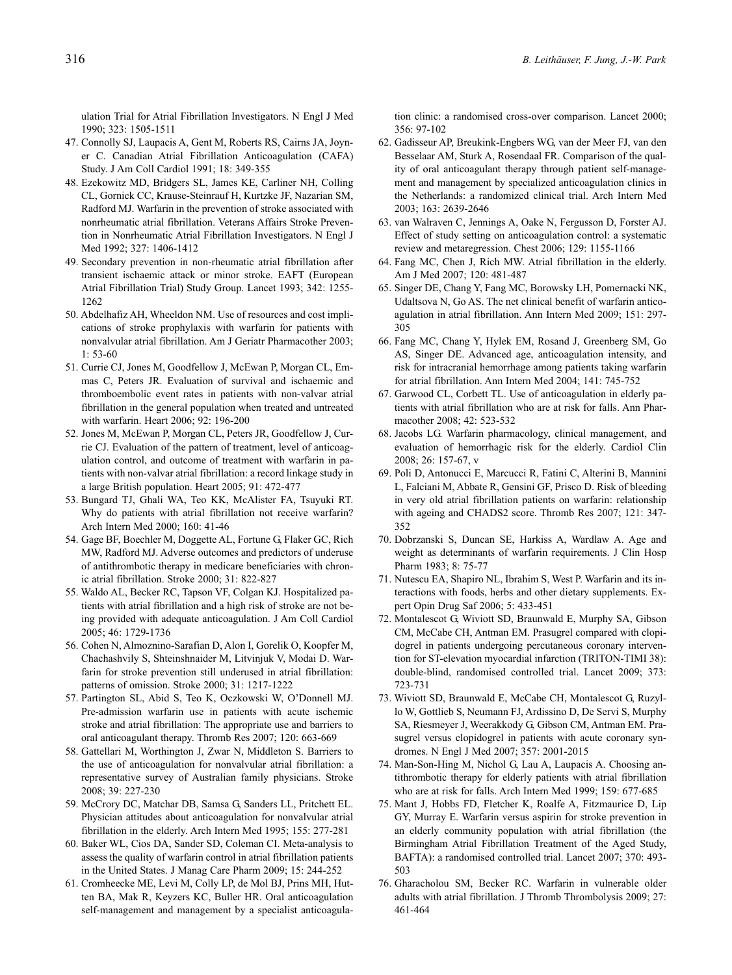ulation Trial for Atrial Fibrillation Investigators. N Engl J Med 1990; 323: 1505-1511

- 47. Connolly SJ, Laupacis A, Gent M, Roberts RS, Cairns JA, Joyner C. Canadian Atrial Fibrillation Anticoagulation (CAFA) Study. J Am Coll Cardiol 1991; 18: 349-355
- 48. Ezekowitz MD, Bridgers SL, James KE, Carliner NH, Colling CL, Gornick CC, Krause-Steinrauf H, Kurtzke JF, Nazarian SM, Radford MJ. Warfarin in the prevention of stroke associated with nonrheumatic atrial fibrillation. Veterans Affairs Stroke Prevention in Nonrheumatic Atrial Fibrillation Investigators. N Engl J Med 1992; 327: 1406-1412
- 49. Secondary prevention in non-rheumatic atrial fibrillation after transient ischaemic attack or minor stroke. EAFT (European Atrial Fibrillation Trial) Study Group. Lancet 1993; 342: 1255- 1262
- 50. Abdelhafiz AH, Wheeldon NM. Use of resources and cost implications of stroke prophylaxis with warfarin for patients with nonvalvular atrial fibrillation. Am J Geriatr Pharmacother 2003; 1: 53-60
- 51. Currie CJ, Jones M, Goodfellow J, McEwan P, Morgan CL, Emmas C, Peters JR. Evaluation of survival and ischaemic and thromboembolic event rates in patients with non-valvar atrial fibrillation in the general population when treated and untreated with warfarin. Heart 2006; 92: 196-200
- 52. Jones M, McEwan P, Morgan CL, Peters JR, Goodfellow J, Currie CJ. Evaluation of the pattern of treatment, level of anticoagulation control, and outcome of treatment with warfarin in patients with non-valvar atrial fibrillation: a record linkage study in a large British population. Heart 2005; 91: 472-477
- 53. Bungard TJ, Ghali WA, Teo KK, McAlister FA, Tsuyuki RT. Why do patients with atrial fibrillation not receive warfarin? Arch Intern Med 2000; 160: 41-46
- 54. Gage BF, Boechler M, Doggette AL, Fortune G, Flaker GC, Rich MW, Radford MJ. Adverse outcomes and predictors of underuse of antithrombotic therapy in medicare beneficiaries with chronic atrial fibrillation. Stroke 2000; 31: 822-827
- 55. Waldo AL, Becker RC, Tapson VF, Colgan KJ. Hospitalized patients with atrial fibrillation and a high risk of stroke are not being provided with adequate anticoagulation. J Am Coll Cardiol 2005; 46: 1729-1736
- 56. Cohen N, Almoznino-Sarafian D, Alon I, Gorelik O, Koopfer M, Chachashvily S, Shteinshnaider M, Litvinjuk V, Modai D. Warfarin for stroke prevention still underused in atrial fibrillation: patterns of omission. Stroke 2000; 31: 1217-1222
- 57. Partington SL, Abid S, Teo K, Oczkowski W, O'Donnell MJ. Pre-admission warfarin use in patients with acute ischemic stroke and atrial fibrillation: The appropriate use and barriers to oral anticoagulant therapy. Thromb Res 2007; 120: 663-669
- 58. Gattellari M, Worthington J, Zwar N, Middleton S. Barriers to the use of anticoagulation for nonvalvular atrial fibrillation: a representative survey of Australian family physicians. Stroke 2008; 39: 227-230
- 59. McCrory DC, Matchar DB, Samsa G, Sanders LL, Pritchett EL. Physician attitudes about anticoagulation for nonvalvular atrial fibrillation in the elderly. Arch Intern Med 1995; 155: 277-281
- 60. Baker WL, Cios DA, Sander SD, Coleman CI. Meta-analysis to assess the quality of warfarin control in atrial fibrillation patients in the United States. J Manag Care Pharm 2009; 15: 244-252
- 61. Cromheecke ME, Levi M, Colly LP, de Mol BJ, Prins MH, Hutten BA, Mak R, Keyzers KC, Buller HR. Oral anticoagulation self-management and management by a specialist anticoagula-

tion clinic: a randomised cross-over comparison. Lancet 2000; 356: 97-102

- 62. Gadisseur AP, Breukink-Engbers WG, van der Meer FJ, van den Besselaar AM, Sturk A, Rosendaal FR. Comparison of the quality of oral anticoagulant therapy through patient self-management and management by specialized anticoagulation clinics in the Netherlands: a randomized clinical trial. Arch Intern Med 2003; 163: 2639-2646
- 63. van Walraven C, Jennings A, Oake N, Fergusson D, Forster AJ. Effect of study setting on anticoagulation control: a systematic review and metaregression. Chest 2006; 129: 1155-1166
- 64. Fang MC, Chen J, Rich MW. Atrial fibrillation in the elderly. Am J Med 2007; 120: 481-487
- 65. Singer DE, Chang Y, Fang MC, Borowsky LH, Pomernacki NK, Udaltsova N, Go AS. The net clinical benefit of warfarin anticoagulation in atrial fibrillation. Ann Intern Med 2009; 151: 297- 305
- 66. Fang MC, Chang Y, Hylek EM, Rosand J, Greenberg SM, Go AS, Singer DE. Advanced age, anticoagulation intensity, and risk for intracranial hemorrhage among patients taking warfarin for atrial fibrillation. Ann Intern Med 2004; 141: 745-752
- 67. Garwood CL, Corbett TL. Use of anticoagulation in elderly patients with atrial fibrillation who are at risk for falls. Ann Pharmacother 2008; 42: 523-532
- 68. Jacobs LG. Warfarin pharmacology, clinical management, and evaluation of hemorrhagic risk for the elderly. Cardiol Clin 2008; 26: 157-67, v
- 69. Poli D, Antonucci E, Marcucci R, Fatini C, Alterini B, Mannini L, Falciani M, Abbate R, Gensini GF, Prisco D. Risk of bleeding in very old atrial fibrillation patients on warfarin: relationship with ageing and CHADS2 score. Thromb Res 2007; 121: 347- 352
- 70. Dobrzanski S, Duncan SE, Harkiss A, Wardlaw A. Age and weight as determinants of warfarin requirements. J Clin Hosp Pharm 1983; 8: 75-77
- 71. Nutescu EA, Shapiro NL, Ibrahim S, West P. Warfarin and its interactions with foods, herbs and other dietary supplements. Expert Opin Drug Saf 2006; 5: 433-451
- 72. Montalescot G, Wiviott SD, Braunwald E, Murphy SA, Gibson CM, McCabe CH, Antman EM. Prasugrel compared with clopidogrel in patients undergoing percutaneous coronary intervention for ST-elevation myocardial infarction (TRITON-TIMI 38): double-blind, randomised controlled trial. Lancet 2009; 373: 723-731
- 73. Wiviott SD, Braunwald E, McCabe CH, Montalescot G, Ruzyllo W, Gottlieb S, Neumann FJ, Ardissino D, De Servi S, Murphy SA, Riesmeyer J, Weerakkody G, Gibson CM, Antman EM. Prasugrel versus clopidogrel in patients with acute coronary syndromes. N Engl J Med 2007; 357: 2001-2015
- 74. Man-Son-Hing M, Nichol G, Lau A, Laupacis A. Choosing antithrombotic therapy for elderly patients with atrial fibrillation who are at risk for falls. Arch Intern Med 1999; 159: 677-685
- 75. Mant J, Hobbs FD, Fletcher K, Roalfe A, Fitzmaurice D, Lip GY, Murray E. Warfarin versus aspirin for stroke prevention in an elderly community population with atrial fibrillation (the Birmingham Atrial Fibrillation Treatment of the Aged Study, BAFTA): a randomised controlled trial. Lancet 2007; 370: 493- 503
- 76. Gharacholou SM, Becker RC. Warfarin in vulnerable older adults with atrial fibrillation. J Thromb Thrombolysis 2009; 27: 461-464